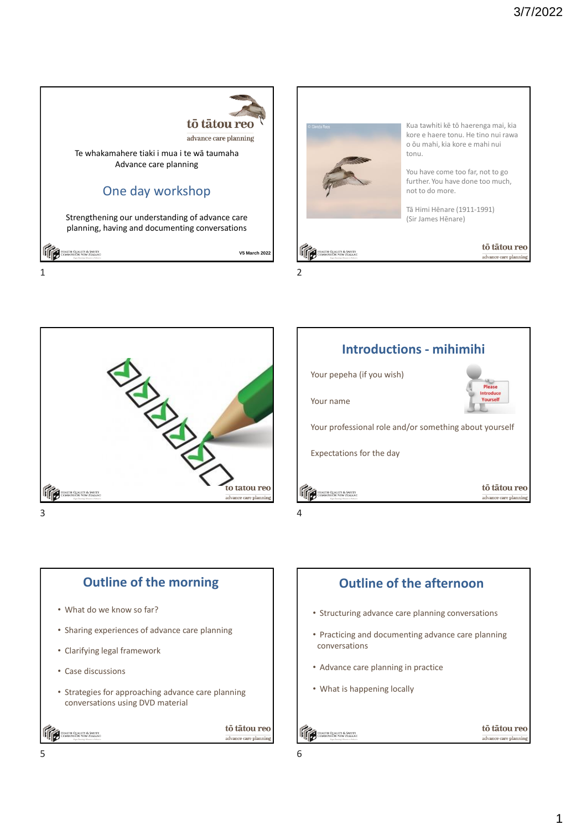





 $3 \t 4$ 





- What do we know so far?
- Sharing experiences of advance care planning
- Clarifying legal framework
- Case discussions
- Strategies for approaching advance care planning conversations using DVD material

HEALTH QUALITY & SAFETY<br>COMMISSION NEW ZEALAND

tō tātou reo advance care planning



HEALTH QUALITY & SAFETY

tō tātou reo

advance care plannin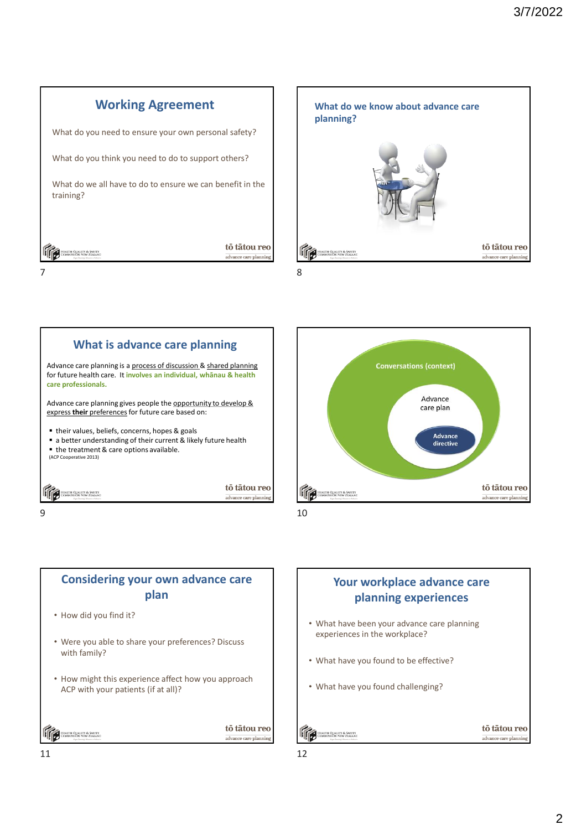







 $9 \hspace{2.5cm} 10$ 

### **Considering your own advance care plan**

- How did you find it?
- Were you able to share your preferences? Discuss with family?
- How might this experience affect how you approach ACP with your patients (if at all)?

Health Quality & Safety<br>Commission New Zealant



## **Your workplace advance care planning experiences**

- What have been your advance care planning experiences in the workplace?
- What have you found to be effective?
- What have you found challenging?

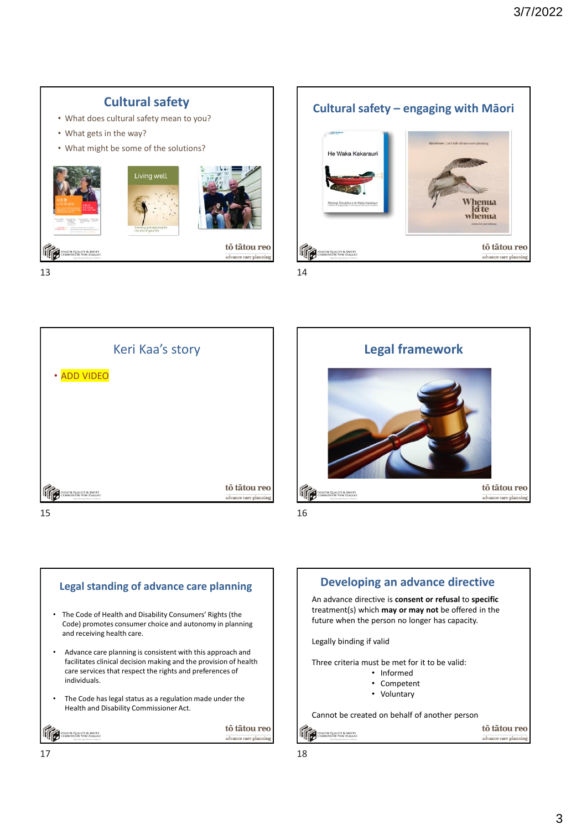

 $13$  14









# An advance directive is **consent or refusal** to **specific** treatment(s) which **may or may not** be offered in the future when the person no longer has capacity. Three criteria must be met for it to be valid: • Informed • Competent • Voluntary Cannot be created on behalf of another person

tō tātou reo

advance care planning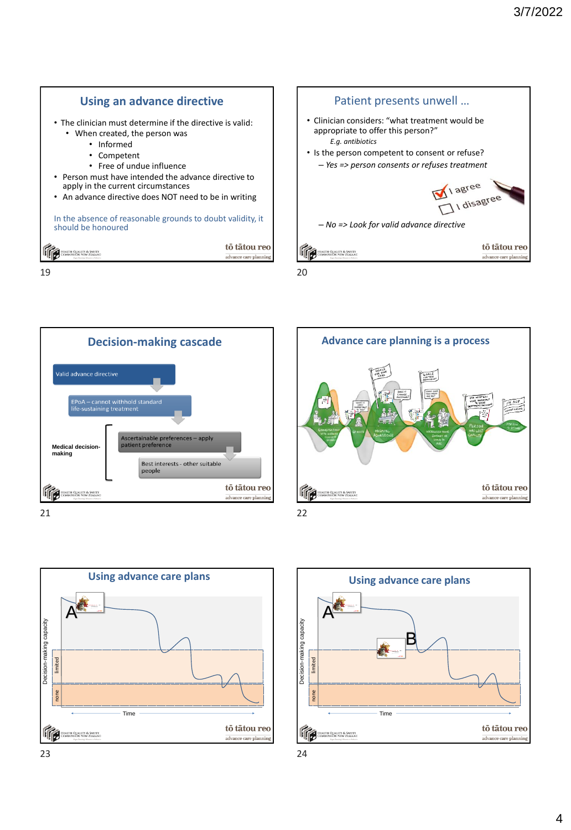

 $19$  20











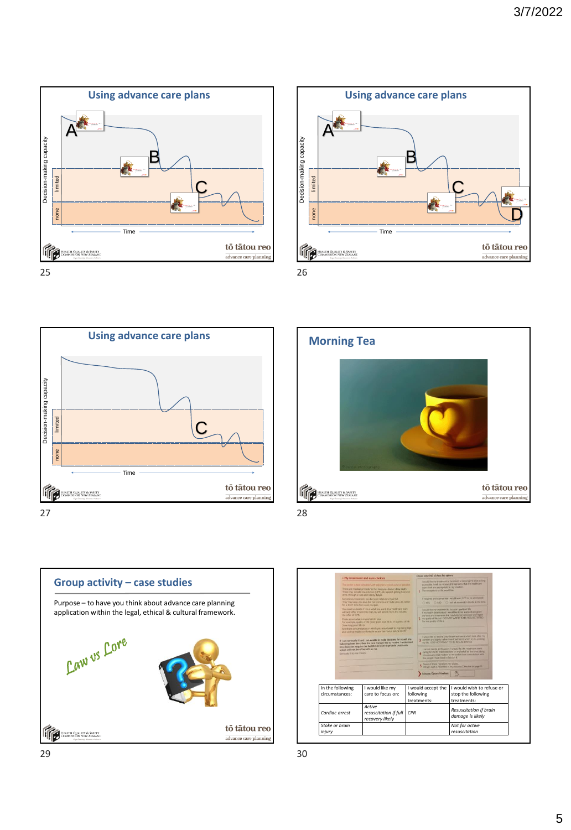









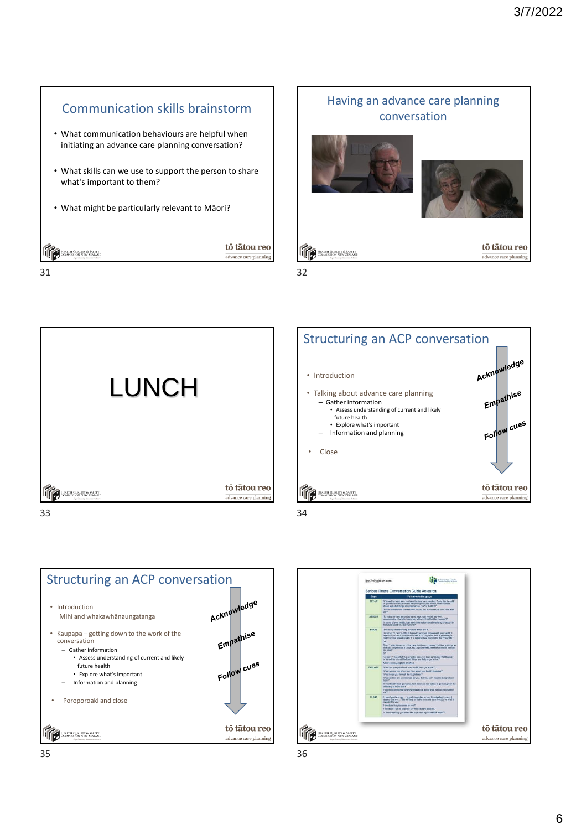

31 32













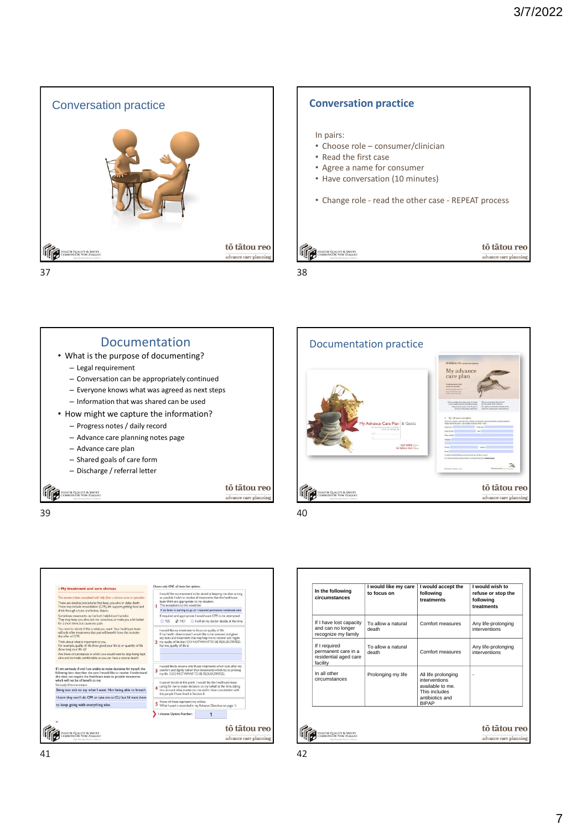



Documentation Documentation practice • What is the purpose of documenting? – Legal requirement – Conversation can be appropriately continued – Everyone knows what was agreed as next steps – Information that was shared can be used • How might we capture the information? ce Care Plan & Gi – Progress notes / daily record – Advance care planning notes page – Advance care plan our voice – Shared goals of care form – Discharge / referral letter tō tātou reo **TELESCOPE DE ALIGNATIV & SAFETY TELESCOPE CONSUMERS AND TELESCOPE** advance care plannin  $39$  40





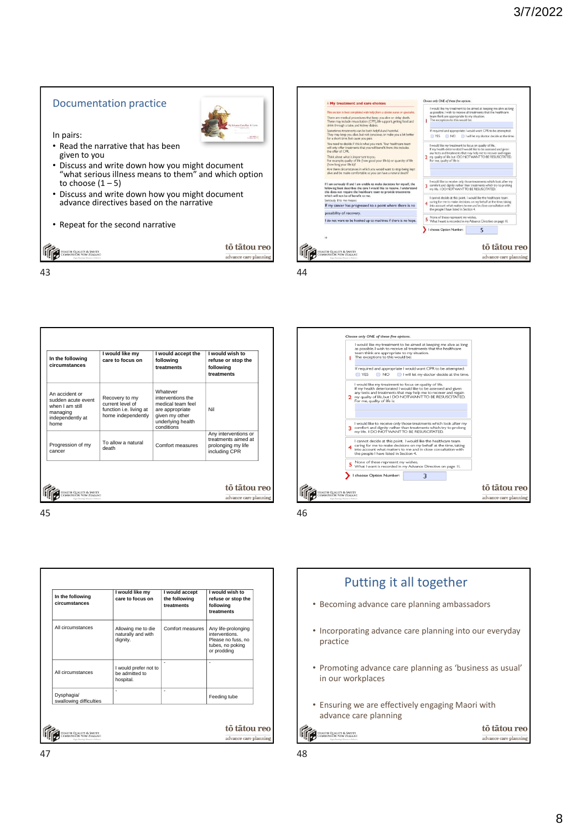#### Documentation practice

In pairs:

- Read the narrative that has been given to you
- Discuss and write down how you might document "what serious illness means to them" and which option to choose  $(1 - 5)$
- Discuss and write down how you might document advance directives based on the narrative
- Repeat for the second narrative

**TELESCOPE CONSUMER SANTA** 

43 44

| In the following<br>circumstances                                                               | I would like my<br>care to focus on                                                 | I would accept the<br>following<br>treatments                                                                              | I would wish to<br>refuse or stop the<br>following<br>treatments                   |
|-------------------------------------------------------------------------------------------------|-------------------------------------------------------------------------------------|----------------------------------------------------------------------------------------------------------------------------|------------------------------------------------------------------------------------|
| An accident or<br>sudden acute event<br>when I am still<br>managing<br>independently at<br>home | Recovery to my<br>current level of<br>function i.e. living at<br>home independently | Whatever<br>interventions the<br>medical team feel<br>are appropriate<br>given my other<br>underlying health<br>conditions | Nil                                                                                |
| Progression of my<br>cancer                                                                     | To allow a natural<br>death                                                         | Comfort measures                                                                                                           | Any interventions or<br>treatments aimed at<br>prolonging my life<br>including CPR |

 $45$ 

| Allowing me to die<br>naturally and with             | Comfort measures |                                                                                                |
|------------------------------------------------------|------------------|------------------------------------------------------------------------------------------------|
| dignity.                                             |                  | Any life-prolonging<br>interventions.<br>Please no fuss, no<br>tubes, no poking<br>or prodding |
| I would prefer not to<br>be admitted to<br>hospital. | ٠                | ٠                                                                                              |
| ٠                                                    | ٠                | Feeding tube                                                                                   |
|                                                      |                  |                                                                                                |



tō tātou reo

advance care planning